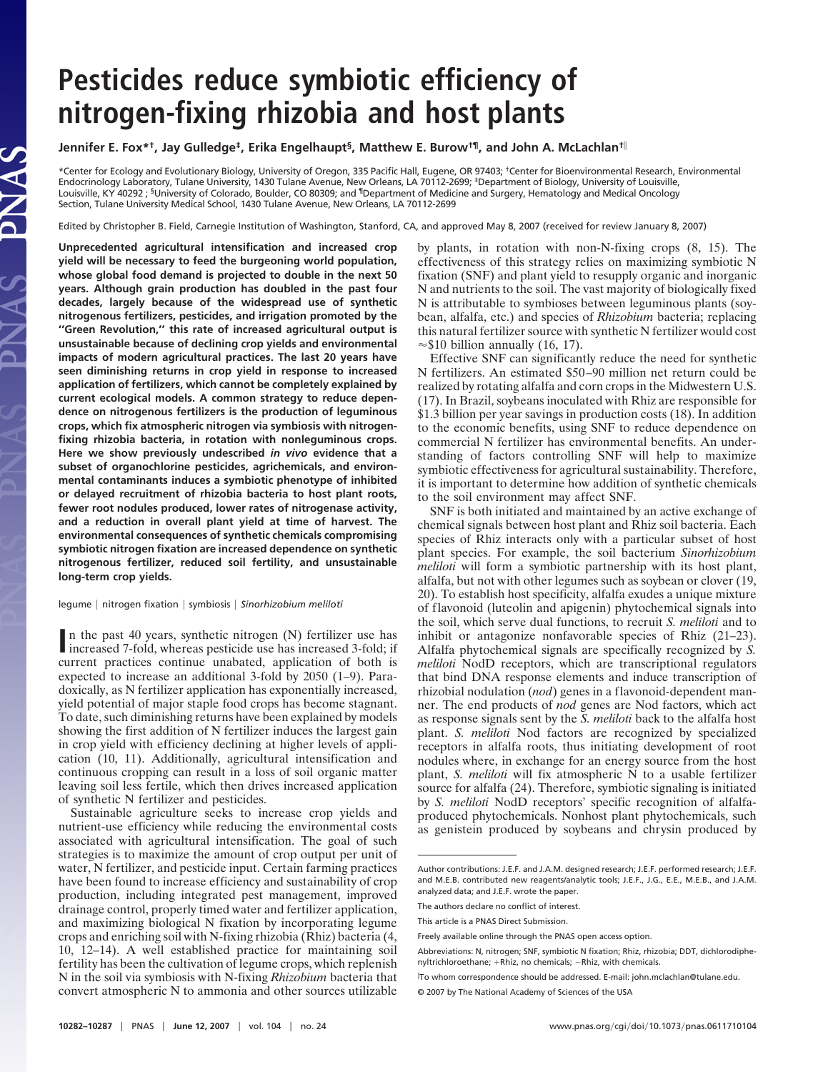# **Pesticides reduce symbiotic efficiency of nitrogen-fixing rhizobia and host plants**

## **Jennifer E. Fox\*†, Jay Gulledge‡, Erika Engelhaupt§, Matthew E. Burow†¶, and John A. McLachlan†**

\*Center for Ecology and Evolutionary Biology, University of Oregon, 335 Pacific Hall, Eugene, OR 97403; †Center for Bioenvironmental Research, Environmental Endocrinology Laboratory, Tulane University, 1430 Tulane Avenue, New Orleans, LA 70112-2699; ‡Department of Biology, University of Louisville, Louisville, KY 40292 ; §University of Colorado, Boulder, CO 80309; and ¶Department of Medicine and Surgery, Hematology and Medical Oncology Section, Tulane University Medical School, 1430 Tulane Avenue, New Orleans, LA 70112-2699

Edited by Christopher B. Field, Carnegie Institution of Washington, Stanford, CA, and approved May 8, 2007 (received for review January 8, 2007)

**Unprecedented agricultural intensification and increased crop yield will be necessary to feed the burgeoning world population, whose global food demand is projected to double in the next 50 years. Although grain production has doubled in the past four decades, largely because of the widespread use of synthetic nitrogenous fertilizers, pesticides, and irrigation promoted by the ''Green Revolution,'' this rate of increased agricultural output is unsustainable because of declining crop yields and environmental impacts of modern agricultural practices. The last 20 years have seen diminishing returns in crop yield in response to increased application of fertilizers, which cannot be completely explained by current ecological models. A common strategy to reduce dependence on nitrogenous fertilizers is the production of leguminous crops, which fix atmospheric nitrogen via symbiosis with nitrogenfixing rhizobia bacteria, in rotation with nonleguminous crops. Here we show previously undescribed** *in vivo* **evidence that a subset of organochlorine pesticides, agrichemicals, and environmental contaminants induces a symbiotic phenotype of inhibited or delayed recruitment of rhizobia bacteria to host plant roots, fewer root nodules produced, lower rates of nitrogenase activity, and a reduction in overall plant yield at time of harvest. The environmental consequences of synthetic chemicals compromising symbiotic nitrogen fixation are increased dependence on synthetic nitrogenous fertilizer, reduced soil fertility, and unsustainable long-term crop yields.**

LAS

legume | nitrogen fixation | symbiosis | S*inorhizobium meliloti* 

In the past 40 years, synthetic nitrogen (N) fertilizer use has increased 3-fold; if increased 7-fold, whereas pesticide use has increased 3-fold; if current practices continue unabated, application of both is expected to increase an additional 3-fold by 2050 (1–9). Paradoxically, as N fertilizer application has exponentially increased, yield potential of major staple food crops has become stagnant. To date, such diminishing returns have been explained by models showing the first addition of N fertilizer induces the largest gain in crop yield with efficiency declining at higher levels of application (10, 11). Additionally, agricultural intensification and continuous cropping can result in a loss of soil organic matter leaving soil less fertile, which then drives increased application of synthetic N fertilizer and pesticides.

Sustainable agriculture seeks to increase crop yields and nutrient-use efficiency while reducing the environmental costs associated with agricultural intensification. The goal of such strategies is to maximize the amount of crop output per unit of water, N fertilizer, and pesticide input. Certain farming practices have been found to increase efficiency and sustainability of crop production, including integrated pest management, improved drainage control, properly timed water and fertilizer application, and maximizing biological N fixation by incorporating legume crops and enriching soil with N-fixing rhizobia (Rhiz) bacteria (4, 10, 12–14). A well established practice for maintaining soil fertility has been the cultivation of legume crops, which replenish N in the soil via symbiosis with N-fixing *Rhizobium* bacteria that convert atmospheric N to ammonia and other sources utilizable

by plants, in rotation with non-N-fixing crops (8, 15). The effectiveness of this strategy relies on maximizing symbiotic N fixation (SNF) and plant yield to resupply organic and inorganic N and nutrients to the soil. The vast majority of biologically fixed N is attributable to symbioses between leguminous plants (soybean, alfalfa, etc.) and species of *Rhizobium* bacteria; replacing this natural fertilizer source with synthetic N fertilizer would cost  $\approx$ \$10 billion annually (16, 17).

Effective SNF can significantly reduce the need for synthetic N fertilizers. An estimated \$50–90 million net return could be realized by rotating alfalfa and corn crops in the Midwestern U.S. (17). In Brazil, soybeans inoculated with Rhiz are responsible for \$1.3 billion per year savings in production costs (18). In addition to the economic benefits, using SNF to reduce dependence on commercial N fertilizer has environmental benefits. An understanding of factors controlling SNF will help to maximize symbiotic effectiveness for agricultural sustainability. Therefore, it is important to determine how addition of synthetic chemicals to the soil environment may affect SNF.

SNF is both initiated and maintained by an active exchange of chemical signals between host plant and Rhiz soil bacteria. Each species of Rhiz interacts only with a particular subset of host plant species. For example, the soil bacterium *Sinorhizobium meliloti* will form a symbiotic partnership with its host plant, alfalfa, but not with other legumes such as soybean or clover (19, 20). To establish host specificity, alfalfa exudes a unique mixture of flavonoid (luteolin and apigenin) phytochemical signals into the soil, which serve dual functions, to recruit *S. meliloti* and to inhibit or antagonize nonfavorable species of Rhiz (21–23). Alfalfa phytochemical signals are specifically recognized by *S. meliloti* NodD receptors, which are transcriptional regulators that bind DNA response elements and induce transcription of rhizobial nodulation (*nod*) genes in a flavonoid-dependent manner. The end products of *nod* genes are Nod factors, which act as response signals sent by the *S. meliloti* back to the alfalfa host plant. *S. meliloti* Nod factors are recognized by specialized receptors in alfalfa roots, thus initiating development of root nodules where, in exchange for an energy source from the host plant, *S. meliloti* will fix atmospheric N to a usable fertilizer source for alfalfa (24). Therefore, symbiotic signaling is initiated by *S. meliloti* NodD receptors' specific recognition of alfalfaproduced phytochemicals. Nonhost plant phytochemicals, such as genistein produced by soybeans and chrysin produced by

Author contributions: J.E.F. and J.A.M. designed research; J.E.F. performed research; J.E.F. and M.E.B. contributed new reagents/analytic tools; J.E.F., J.G., E.E., M.E.B., and J.A.M. analyzed data; and J.E.F. wrote the paper.

The authors declare no conflict of interest.

This article is a PNAS Direct Submission.

Freely available online through the PNAS open access option.

Abbreviations: N, nitrogen; SNF, symbiotic N fixation; Rhiz, rhizobia; DDT, dichlorodiphenyltrichloroethane; +Rhiz, no chemicals; -Rhiz, with chemicals.

To whom correspondence should be addressed. E-mail: john.mclachlan@tulane.edu.

<sup>© 2007</sup> by The National Academy of Sciences of the USA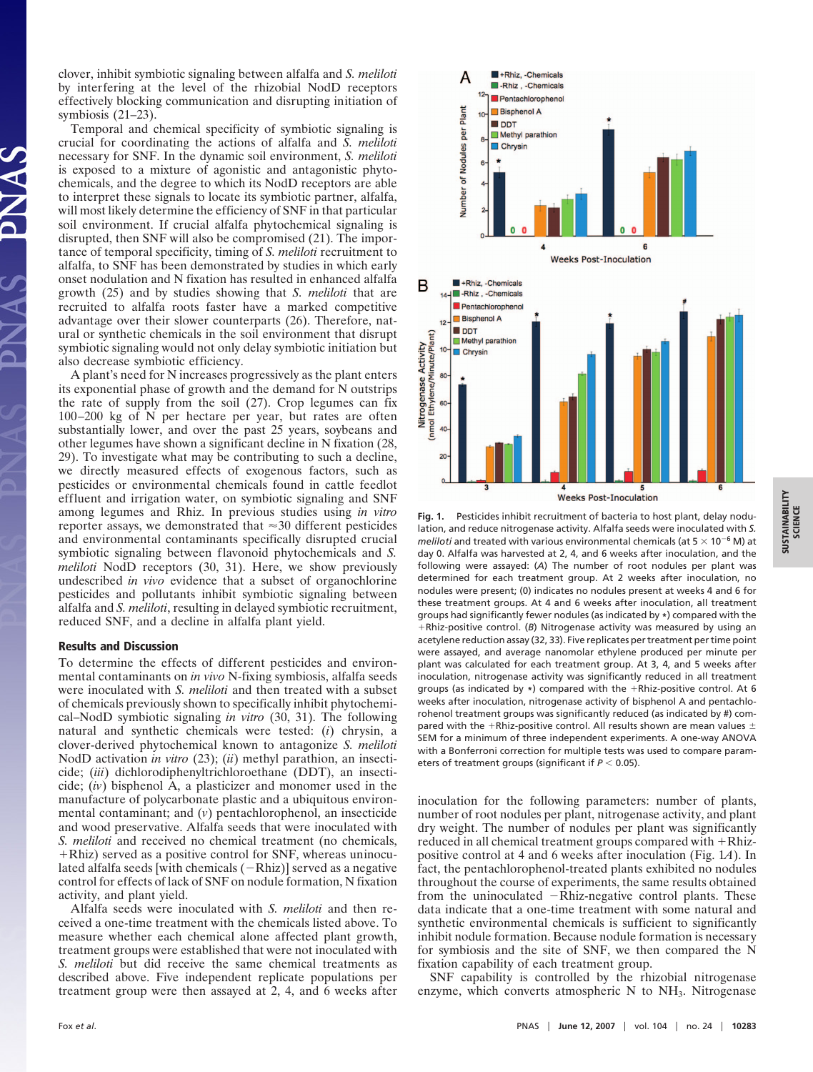clover, inhibit symbiotic signaling between alfalfa and *S. meliloti* by interfering at the level of the rhizobial NodD receptors effectively blocking communication and disrupting initiation of symbiosis (21–23).

Temporal and chemical specificity of symbiotic signaling is crucial for coordinating the actions of alfalfa and *S. meliloti* necessary for SNF. In the dynamic soil environment, *S. meliloti* is exposed to a mixture of agonistic and antagonistic phytochemicals, and the degree to which its NodD receptors are able to interpret these signals to locate its symbiotic partner, alfalfa, will most likely determine the efficiency of SNF in that particular soil environment. If crucial alfalfa phytochemical signaling is disrupted, then SNF will also be compromised (21). The importance of temporal specificity, timing of *S. meliloti* recruitment to alfalfa, to SNF has been demonstrated by studies in which early onset nodulation and N fixation has resulted in enhanced alfalfa growth (25) and by studies showing that *S. meliloti* that are recruited to alfalfa roots faster have a marked competitive advantage over their slower counterparts (26). Therefore, natural or synthetic chemicals in the soil environment that disrupt symbiotic signaling would not only delay symbiotic initiation but also decrease symbiotic efficiency.

A plant's need for N increases progressively as the plant enters its exponential phase of growth and the demand for N outstrips the rate of supply from the soil (27). Crop legumes can fix 100–200 kg of N per hectare per year, but rates are often substantially lower, and over the past 25 years, soybeans and other legumes have shown a significant decline in N fixation (28, 29). To investigate what may be contributing to such a decline, we directly measured effects of exogenous factors, such as pesticides or environmental chemicals found in cattle feedlot effluent and irrigation water, on symbiotic signaling and SNF among legumes and Rhiz. In previous studies using *in vitro* reporter assays, we demonstrated that  $\approx 30$  different pesticides and environmental contaminants specifically disrupted crucial symbiotic signaling between flavonoid phytochemicals and *S. meliloti* NodD receptors (30, 31). Here, we show previously undescribed *in vivo* evidence that a subset of organochlorine pesticides and pollutants inhibit symbiotic signaling between alfalfa and *S. meliloti*, resulting in delayed symbiotic recruitment, reduced SNF, and a decline in alfalfa plant yield.

### **Results and Discussion**

To determine the effects of different pesticides and environmental contaminants on *in vivo* N-fixing symbiosis, alfalfa seeds were inoculated with *S. meliloti* and then treated with a subset of chemicals previously shown to specifically inhibit phytochemical–NodD symbiotic signaling *in vitro* (30, 31). The following natural and synthetic chemicals were tested: (*i*) chrysin, a clover-derived phytochemical known to antagonize *S. meliloti* NodD activation *in vitro* (23); (*ii*) methyl parathion, an insecticide; (*iii*) dichlorodiphenyltrichloroethane (DDT), an insecticide; (*iv*) bisphenol A, a plasticizer and monomer used in the manufacture of polycarbonate plastic and a ubiquitous environmental contaminant; and (*v*) pentachlorophenol, an insecticide and wood preservative. Alfalfa seeds that were inoculated with *S. meliloti* and received no chemical treatment (no chemicals, -Rhiz) served as a positive control for SNF, whereas uninoculated alfalfa seeds [with chemicals  $(-Rhiz)$ ] served as a negative control for effects of lack of SNF on nodule formation, N fixation activity, and plant yield.

Alfalfa seeds were inoculated with *S. meliloti* and then received a one-time treatment with the chemicals listed above. To measure whether each chemical alone affected plant growth, treatment groups were established that were not inoculated with *S. meliloti* but did receive the same chemical treatments as described above. Five independent replicate populations per treatment group were then assayed at 2, 4, and 6 weeks after



**Fig. 1.** Pesticides inhibit recruitment of bacteria to host plant, delay nodulation, and reduce nitrogenase activity. Alfalfa seeds were inoculated with *S. meliloti* and treated with various environmental chemicals (at 5  $\times$  10<sup>-6</sup> M) at day 0. Alfalfa was harvested at 2, 4, and 6 weeks after inoculation, and the following were assayed: (*A*) The number of root nodules per plant was determined for each treatment group. At 2 weeks after inoculation, no nodules were present; (0) indicates no nodules present at weeks 4 and 6 for these treatment groups. At 4 and 6 weeks after inoculation, all treatment groups had significantly fewer nodules (as indicated by **\***) compared with the -Rhiz-positive control. (*B*) Nitrogenase activity was measured by using an acetylene reduction assay (32, 33). Five replicates per treatment per time point were assayed, and average nanomolar ethylene produced per minute per plant was calculated for each treatment group. At 3, 4, and 5 weeks after inoculation, nitrogenase activity was significantly reduced in all treatment groups (as indicated by **\***) compared with the -Rhiz-positive control. At 6 weeks after inoculation, nitrogenase activity of bisphenol A and pentachlorohenol treatment groups was significantly reduced (as indicated by #) compared with the +Rhiz-positive control. All results shown are mean values  $\pm$ SEM for a minimum of three independent experiments. A one-way ANOVA with a Bonferroni correction for multiple tests was used to compare parameters of treatment groups (significant if  $P < 0.05$ ).

inoculation for the following parameters: number of plants, number of root nodules per plant, nitrogenase activity, and plant dry weight. The number of nodules per plant was significantly reduced in all chemical treatment groups compared with +Rhizpositive control at 4 and 6 weeks after inoculation (Fig. 1*A*). In fact, the pentachlorophenol-treated plants exhibited no nodules throughout the course of experiments, the same results obtained from the uninoculated  $-Rhiz-negative$  control plants. These data indicate that a one-time treatment with some natural and synthetic environmental chemicals is sufficient to significantly inhibit nodule formation. Because nodule formation is necessary for symbiosis and the site of SNF, we then compared the N fixation capability of each treatment group.

SNF capability is controlled by the rhizobial nitrogenase enzyme, which converts atmospheric  $N$  to  $NH<sub>3</sub>$ . Nitrogenase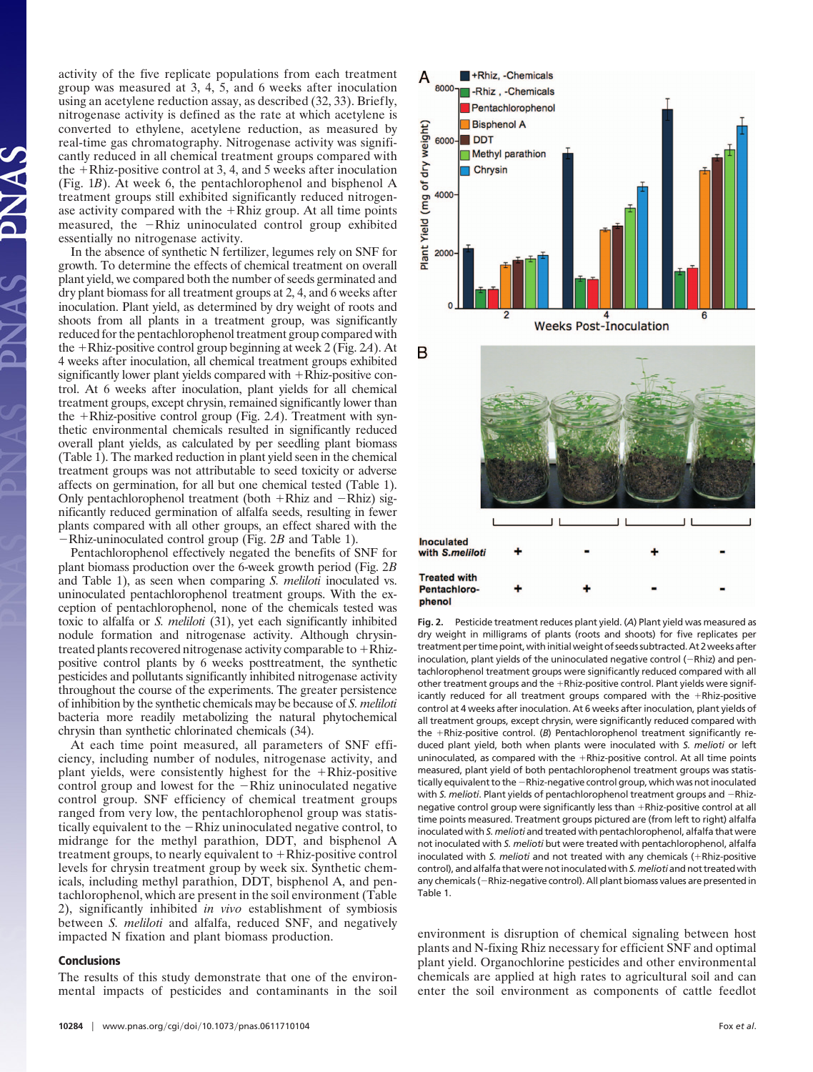activity of the five replicate populations from each treatment group was measured at 3, 4, 5, and 6 weeks after inoculation using an acetylene reduction assay, as described (32, 33). Briefly, nitrogenase activity is defined as the rate at which acetylene is converted to ethylene, acetylene reduction, as measured by real-time gas chromatography. Nitrogenase activity was significantly reduced in all chemical treatment groups compared with the -Rhiz-positive control at 3, 4, and 5 weeks after inoculation (Fig. 1*B*). At week 6, the pentachlorophenol and bisphenol A treatment groups still exhibited significantly reduced nitrogenase activity compared with the  $+$ Rhiz group. At all time points measured, the  $-Rhiz$  uninoculated control group exhibited essentially no nitrogenase activity.

In the absence of synthetic N fertilizer, legumes rely on SNF for growth. To determine the effects of chemical treatment on overall plant yield, we compared both the number of seeds germinated and dry plant biomass for all treatment groups at 2, 4, and 6 weeks after inoculation. Plant yield, as determined by dry weight of roots and shoots from all plants in a treatment group, was significantly reduced for the pentachlorophenol treatment group compared with the -Rhiz-positive control group beginning at week 2 (Fig. 2*A*). At 4 weeks after inoculation, all chemical treatment groups exhibited significantly lower plant yields compared with +Rhiz-positive control. At 6 weeks after inoculation, plant yields for all chemical treatment groups, except chrysin, remained significantly lower than the -Rhiz-positive control group (Fig. 2*A*). Treatment with synthetic environmental chemicals resulted in significantly reduced overall plant yields, as calculated by per seedling plant biomass (Table 1). The marked reduction in plant yield seen in the chemical treatment groups was not attributable to seed toxicity or adverse affects on germination, for all but one chemical tested (Table 1). Only pentachlorophenol treatment (both  $+$ Rhiz and  $-$ Rhiz) significantly reduced germination of alfalfa seeds, resulting in fewer plants compared with all other groups, an effect shared with the Rhiz-uninoculated control group (Fig. 2*B* and Table 1).

Pentachlorophenol effectively negated the benefits of SNF for plant biomass production over the 6-week growth period (Fig. 2*B* and Table 1), as seen when comparing *S. meliloti* inoculated vs. uninoculated pentachlorophenol treatment groups. With the exception of pentachlorophenol, none of the chemicals tested was toxic to alfalfa or *S. meliloti* (31), yet each significantly inhibited nodule formation and nitrogenase activity. Although chrysintreated plants recovered nitrogenase activity comparable to +Rhizpositive control plants by 6 weeks posttreatment, the synthetic pesticides and pollutants significantly inhibited nitrogenase activity throughout the course of the experiments. The greater persistence of inhibition by the synthetic chemicals may be because of *S. meliloti* bacteria more readily metabolizing the natural phytochemical chrysin than synthetic chlorinated chemicals (34).

At each time point measured, all parameters of SNF efficiency, including number of nodules, nitrogenase activity, and plant yields, were consistently highest for the +Rhiz-positive control group and lowest for the  $-Rhiz$  uninoculated negative control group. SNF efficiency of chemical treatment groups ranged from very low, the pentachlorophenol group was statistically equivalent to the  $-R$ hiz uninoculated negative control, to midrange for the methyl parathion, DDT, and bisphenol A treatment groups, to nearly equivalent to  $+$ Rhiz-positive control levels for chrysin treatment group by week six. Synthetic chemicals, including methyl parathion, DDT, bisphenol A, and pentachlorophenol, which are present in the soil environment (Table 2), significantly inhibited *in vivo* establishment of symbiosis between *S. meliloti* and alfalfa, reduced SNF, and negatively impacted N fixation and plant biomass production.

#### **Conclusions**

The results of this study demonstrate that one of the environmental impacts of pesticides and contaminants in the soil



**Fig. 2.** Pesticide treatment reduces plant yield. (*A*) Plant yield was measured as dry weight in milligrams of plants (roots and shoots) for five replicates per treatment per time point, with initial weight of seeds subtracted. At 2 weeks after inoculation, plant yields of the uninoculated negative control  $(-R)$ hiz) and pentachlorophenol treatment groups were significantly reduced compared with all other treatment groups and the -Rhiz-positive control. Plant yields were significantly reduced for all treatment groups compared with the +Rhiz-positive control at 4 weeks after inoculation. At 6 weeks after inoculation, plant yields of all treatment groups, except chrysin, were significantly reduced compared with the -Rhiz-positive control. (*B*) Pentachlorophenol treatment significantly reduced plant yield, both when plants were inoculated with *S. melioti* or left uninoculated, as compared with the  $+R$ hiz-positive control. At all time points measured, plant yield of both pentachlorophenol treatment groups was statistically equivalent to the -Rhiz-negative control group, which was not inoculated with *S. melioti*. Plant yields of pentachlorophenol treatment groups and -Rhiznegative control group were significantly less than  $+$ Rhiz-positive control at all time points measured. Treatment groups pictured are (from left to right) alfalfa inoculated with *S. melioti* and treated with pentachlorophenol, alfalfa that were not inoculated with *S. melioti* but were treated with pentachlorophenol, alfalfa inoculated with S. melioti and not treated with any chemicals (+Rhiz-positive control), and alfalfa thatwere notinoculatedwith*S.melioti*and not treatedwith any chemicals (-Rhiz-negative control). All plant biomass values are presented in Table 1.

environment is disruption of chemical signaling between host plants and N-fixing Rhiz necessary for efficient SNF and optimal plant yield. Organochlorine pesticides and other environmental chemicals are applied at high rates to agricultural soil and can enter the soil environment as components of cattle feedlot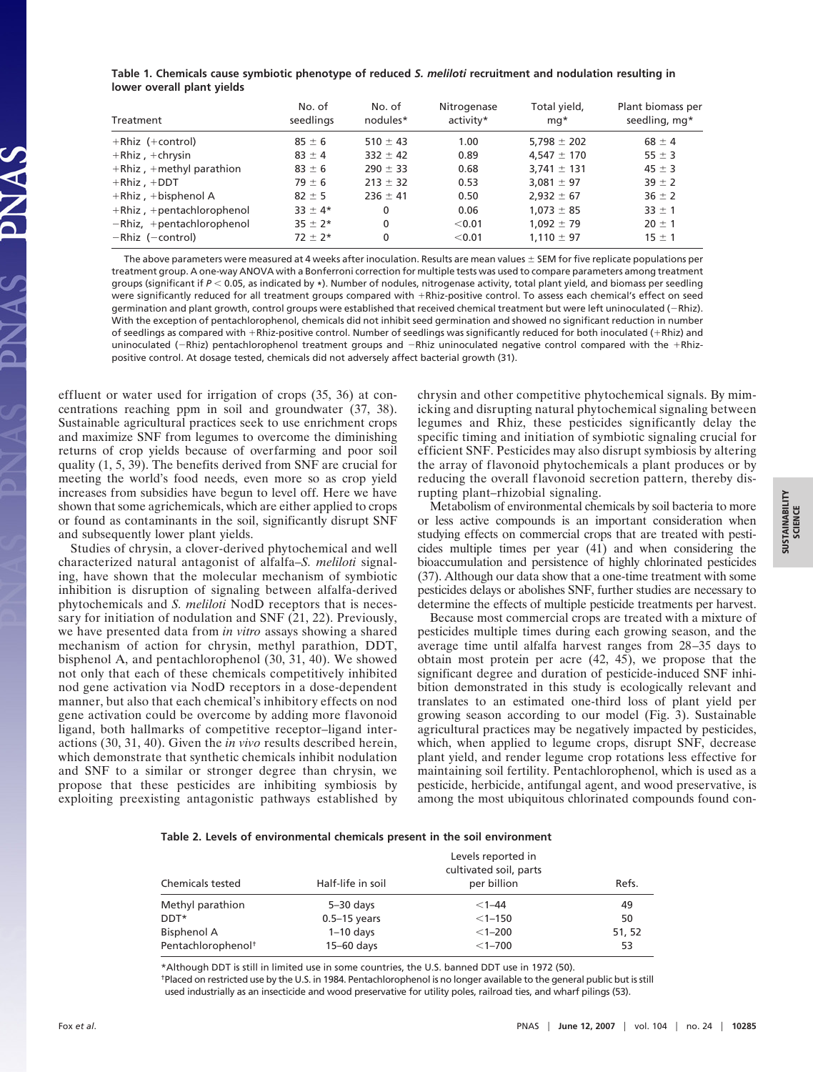## **Table 1. Chemicals cause symbiotic phenotype of reduced** *S. meliloti* **recruitment and nodulation resulting in lower overall plant yields**

| Treatment                      | No. of<br>seedlings | No. of<br>nodules* | Nitrogenase<br>activity* | Total yield,<br>$mq*$ | Plant biomass per<br>seedling, mg* |
|--------------------------------|---------------------|--------------------|--------------------------|-----------------------|------------------------------------|
| $+$ Rhiz ( $+$ control)        | $85 \pm 6$          | $510 \pm 43$       | 1.00                     | $5,798 \pm 202$       | $68 \pm 4$                         |
| $+$ Rhiz, $+$ chrysin          | $83 \pm 4$          | $332 \pm 42$       | 0.89                     | $4.547 \pm 170$       | $55 \pm 3$                         |
| $+$ Rhiz, $+$ methyl parathion | $83 \pm 6$          | $290 \pm 33$       | 0.68                     | $3,741 \pm 131$       | $45 \pm 3$                         |
| $+$ Rhiz, $+$ DDT              | $79 \pm 6$          | $213 \pm 32$       | 0.53                     | $3.081 \pm 97$        | $39 \pm 2$                         |
| $+$ Rhiz, $+$ bisphenol A      | $82 \pm 5$          | $236 \pm 41$       | 0.50                     | $2.932 \pm 67$        | $36 \pm 2$                         |
| +Rhiz, +pentachlorophenol      | $33 \pm 4*$         | 0                  | 0.06                     | $1,073 \pm 85$        | $33 \pm 1$                         |
| -Rhiz, +pentachlorophenol      | $35 \pm 2*$         | 0                  | < 0.01                   | $1.092 \pm 79$        | $20 \pm 1$                         |
| $-Rhiz$ ( $-$ control)         | $72 \pm 2*$         | 0                  | < 0.01                   | $1.110 \pm 97$        | $15 \pm 1$                         |

The above parameters were measured at 4 weeks after inoculation. Results are mean values  $\pm$  SEM for five replicate populations per treatment group. A one-way ANOVA with a Bonferroni correction for multiple tests was used to compare parameters among treatment groups (significant if  $P < 0.05$ , as indicated by \*). Number of nodules, nitrogenase activity, total plant yield, and biomass per seedling were significantly reduced for all treatment groups compared with -Rhiz-positive control. To assess each chemical's effect on seed germination and plant growth, control groups were established that received chemical treatment but were left uninoculated (-Rhiz). With the exception of pentachlorophenol, chemicals did not inhibit seed germination and showed no significant reduction in number of seedlings as compared with +Rhiz-positive control. Number of seedlings was significantly reduced for both inoculated (+Rhiz) and uninoculated (-Rhiz) pentachlorophenol treatment groups and -Rhiz uninoculated negative control compared with the +Rhizpositive control. At dosage tested, chemicals did not adversely affect bacterial growth (31).

effluent or water used for irrigation of crops (35, 36) at concentrations reaching ppm in soil and groundwater (37, 38). Sustainable agricultural practices seek to use enrichment crops and maximize SNF from legumes to overcome the diminishing returns of crop yields because of overfarming and poor soil quality (1, 5, 39). The benefits derived from SNF are crucial for meeting the world's food needs, even more so as crop yield increases from subsidies have begun to level off. Here we have shown that some agrichemicals, which are either applied to crops or found as contaminants in the soil, significantly disrupt SNF and subsequently lower plant yields.

Studies of chrysin, a clover-derived phytochemical and well characterized natural antagonist of alfalfa–*S. meliloti* signaling, have shown that the molecular mechanism of symbiotic inhibition is disruption of signaling between alfalfa-derived phytochemicals and *S. meliloti* NodD receptors that is necessary for initiation of nodulation and SNF (21, 22). Previously, we have presented data from *in vitro* assays showing a shared mechanism of action for chrysin, methyl parathion, DDT, bisphenol A, and pentachlorophenol (30, 31, 40). We showed not only that each of these chemicals competitively inhibited nod gene activation via NodD receptors in a dose-dependent manner, but also that each chemical's inhibitory effects on nod gene activation could be overcome by adding more flavonoid ligand, both hallmarks of competitive receptor–ligand interactions (30, 31, 40). Given the *in vivo* results described herein, which demonstrate that synthetic chemicals inhibit nodulation and SNF to a similar or stronger degree than chrysin, we propose that these pesticides are inhibiting symbiosis by exploiting preexisting antagonistic pathways established by chrysin and other competitive phytochemical signals. By mimicking and disrupting natural phytochemical signaling between legumes and Rhiz, these pesticides significantly delay the specific timing and initiation of symbiotic signaling crucial for efficient SNF. Pesticides may also disrupt symbiosis by altering the array of flavonoid phytochemicals a plant produces or by reducing the overall flavonoid secretion pattern, thereby disrupting plant–rhizobial signaling.

Metabolism of environmental chemicals by soil bacteria to more or less active compounds is an important consideration when studying effects on commercial crops that are treated with pesticides multiple times per year (41) and when considering the bioaccumulation and persistence of highly chlorinated pesticides (37). Although our data show that a one-time treatment with some pesticides delays or abolishes SNF, further studies are necessary to determine the effects of multiple pesticide treatments per harvest.

Because most commercial crops are treated with a mixture of pesticides multiple times during each growing season, and the average time until alfalfa harvest ranges from 28–35 days to obtain most protein per acre (42, 45), we propose that the significant degree and duration of pesticide-induced SNF inhibition demonstrated in this study is ecologically relevant and translates to an estimated one-third loss of plant yield per growing season according to our model (Fig. 3). Sustainable agricultural practices may be negatively impacted by pesticides, which, when applied to legume crops, disrupt SNF, decrease plant yield, and render legume crop rotations less effective for maintaining soil fertility. Pentachlorophenol, which is used as a pesticide, herbicide, antifungal agent, and wood preservative, is among the most ubiquitous chlorinated compounds found con-

|  |  | Table 2. Levels of environmental chemicals present in the soil environment |  |  |  |
|--|--|----------------------------------------------------------------------------|--|--|--|
|  |  |                                                                            |  |  |  |

| <b>Chemicals tested</b>        | Half-life in soil | Levels reported in<br>cultivated soil, parts<br>per billion | Refs.  |
|--------------------------------|-------------------|-------------------------------------------------------------|--------|
| Methyl parathion               | $5 - 30$ days     | $< 1 - 44$                                                  | 49     |
| DDT*                           | $0.5 - 15$ years  | $<$ 1-150                                                   | 50     |
| <b>Bisphenol A</b>             | $1-10$ days       | $<$ 1-200                                                   | 51, 52 |
| Pentachlorophenol <sup>+</sup> | $15-60$ days      | $<$ 1-700                                                   | 53     |

\*Although DDT is still in limited use in some countries, the U.S. banned DDT use in 1972 (50). †Placed on restricted use by the U.S. in 1984. Pentachlorophenol is no longer available to the general public but is still used industrially as an insecticide and wood preservative for utility poles, railroad ties, and wharf pilings (53).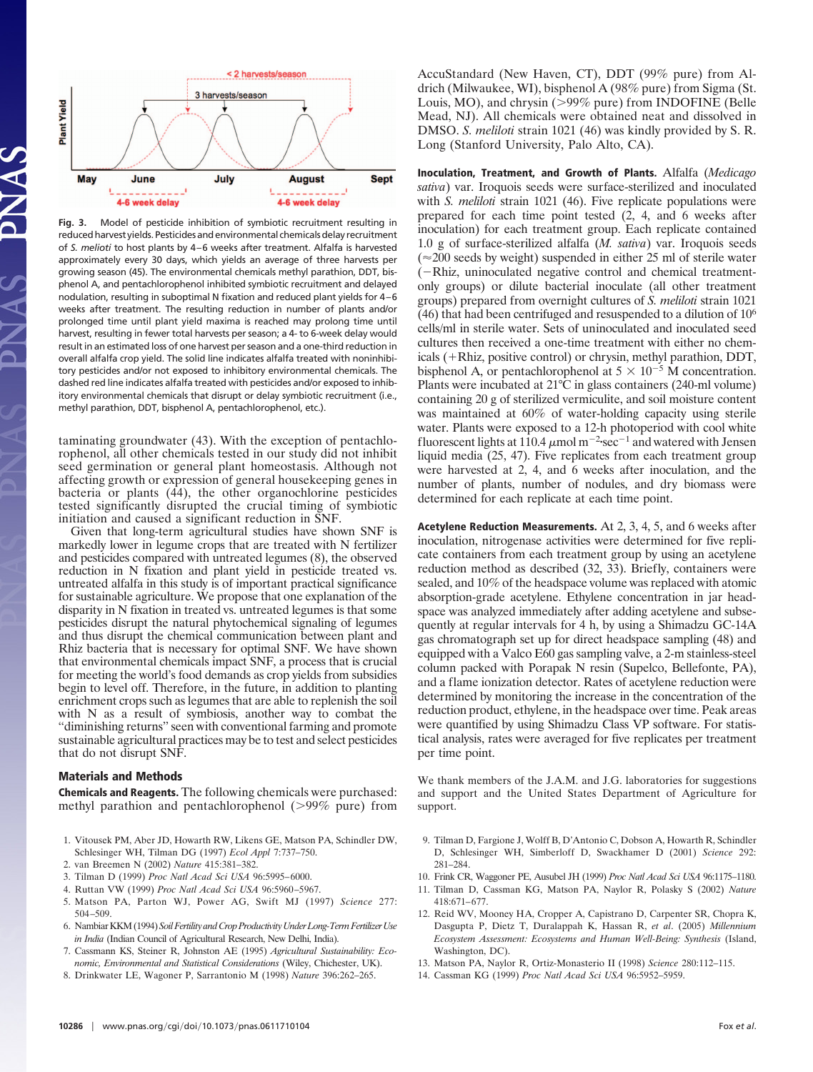

**Fig. 3.** Model of pesticide inhibition of symbiotic recruitment resulting in reduced harvest yields. Pesticides and environmental chemicals delay recruitment of *S. melioti* to host plants by 4 –6 weeks after treatment. Alfalfa is harvested approximately every 30 days, which yields an average of three harvests per growing season (45). The environmental chemicals methyl parathion, DDT, bisphenol A, and pentachlorophenol inhibited symbiotic recruitment and delayed nodulation, resulting in suboptimal N fixation and reduced plant yields for 4 –6 weeks after treatment. The resulting reduction in number of plants and/or prolonged time until plant yield maxima is reached may prolong time until harvest, resulting in fewer total harvests per season; a 4- to 6-week delay would result in an estimated loss of one harvest per season and a one-third reduction in overall alfalfa crop yield. The solid line indicates alfalfa treated with noninhibitory pesticides and/or not exposed to inhibitory environmental chemicals. The dashed red line indicates alfalfa treated with pesticides and/or exposed to inhibitory environmental chemicals that disrupt or delay symbiotic recruitment (i.e., methyl parathion, DDT, bisphenol A, pentachlorophenol, etc.).

taminating groundwater (43). With the exception of pentachlorophenol, all other chemicals tested in our study did not inhibit seed germination or general plant homeostasis. Although not affecting growth or expression of general housekeeping genes in bacteria or plants (44), the other organochlorine pesticides tested significantly disrupted the crucial timing of symbiotic initiation and caused a significant reduction in SNF.

Given that long-term agricultural studies have shown SNF is markedly lower in legume crops that are treated with N fertilizer and pesticides compared with untreated legumes (8), the observed reduction in N fixation and plant yield in pesticide treated vs. untreated alfalfa in this study is of important practical significance for sustainable agriculture. We propose that one explanation of the disparity in N fixation in treated vs. untreated legumes is that some pesticides disrupt the natural phytochemical signaling of legumes and thus disrupt the chemical communication between plant and Rhiz bacteria that is necessary for optimal SNF. We have shown that environmental chemicals impact SNF, a process that is crucial for meeting the world's food demands as crop yields from subsidies begin to level off. Therefore, in the future, in addition to planting enrichment crops such as legumes that are able to replenish the soil with N as a result of symbiosis, another way to combat the ''diminishing returns'' seen with conventional farming and promote sustainable agricultural practices may be to test and select pesticides that do not disrupt SNF.

#### **Materials and Methods**

**Chemicals and Reagents.** The following chemicals were purchased: methyl parathion and pentachlorophenol (99% pure) from

- 1. Vitousek PM, Aber JD, Howarth RW, Likens GE, Matson PA, Schindler DW, Schlesinger WH, Tilman DG (1997) *Ecol Appl* 7:737–750.
- 2. van Breemen N (2002) *Nature* 415:381–382.
- 3. Tilman D (1999) *Proc Natl Acad Sci USA* 96:5995–6000.
- 4. Ruttan VW (1999) *Proc Natl Acad Sci USA* 96:5960–5967.
- 5. Matson PA, Parton WJ, Power AG, Swift MJ (1997) *Science* 277: 504–509.
- 6. Nambiar KKM (1994)*Soil Fertility and Crop Productivity UnderLong-Term Fertilizer Use in India* (Indian Council of Agricultural Research, New Delhi, India).
- 7. Cassmann KS, Steiner R, Johnston AE (1995) *Agricultural Sustainability: Economic, Environmental and Statistical Considerations* (Wiley, Chichester, UK).
- 8. Drinkwater LE, Wagoner P, Sarrantonio M (1998) *Nature* 396:262–265.

AccuStandard (New Haven, CT), DDT (99% pure) from Aldrich (Milwaukee, WI), bisphenol A (98% pure) from Sigma (St. Louis, MO), and chrysin (>99% pure) from INDOFINE (Belle Mead, NJ). All chemicals were obtained neat and dissolved in DMSO. *S. meliloti* strain 1021 (46) was kindly provided by S. R. Long (Stanford University, Palo Alto, CA).

**Inoculation, Treatment, and Growth of Plants.** Alfalfa (*Medicago sativa*) var. Iroquois seeds were surface-sterilized and inoculated with *S. meliloti* strain 1021 (46). Five replicate populations were prepared for each time point tested (2, 4, and 6 weeks after inoculation) for each treatment group. Each replicate contained 1.0 g of surface-sterilized alfalfa (*M. sativa*) var. Iroquois seeds  $\approx$  200 seeds by weight) suspended in either 25 ml of sterile water -Rhiz, uninoculated negative control and chemical treatmentonly groups) or dilute bacterial inoculate (all other treatment groups) prepared from overnight cultures of *S. meliloti* strain 1021 (46) that had been centrifuged and resuspended to a dilution of  $10<sup>6</sup>$ cells/ml in sterile water. Sets of uninoculated and inoculated seed cultures then received a one-time treatment with either no chemicals (+Rhiz, positive control) or chrysin, methyl parathion, DDT, bisphenol A, or pentachlorophenol at  $5 \times 10^{-5}$  M concentration. Plants were incubated at 21°C in glass containers (240-ml volume) containing 20 g of sterilized vermiculite, and soil moisture content was maintained at 60% of water-holding capacity using sterile water. Plants were exposed to a 12-h photoperiod with cool white fluorescent lights at 110.4  $\mu$ mol m<sup>-2</sup>-sec<sup>-1</sup> and watered with Jensen liquid media (25, 47). Five replicates from each treatment group were harvested at 2, 4, and 6 weeks after inoculation, and the number of plants, number of nodules, and dry biomass were determined for each replicate at each time point.

**Acetylene Reduction Measurements.** At 2, 3, 4, 5, and 6 weeks after inoculation, nitrogenase activities were determined for five replicate containers from each treatment group by using an acetylene reduction method as described (32, 33). Briefly, containers were sealed, and 10% of the headspace volume was replaced with atomic absorption-grade acetylene. Ethylene concentration in jar headspace was analyzed immediately after adding acetylene and subsequently at regular intervals for 4 h, by using a Shimadzu GC-14A gas chromatograph set up for direct headspace sampling (48) and equipped with a Valco E60 gas sampling valve, a 2-m stainless-steel column packed with Porapak N resin (Supelco, Bellefonte, PA), and a flame ionization detector. Rates of acetylene reduction were determined by monitoring the increase in the concentration of the reduction product, ethylene, in the headspace over time. Peak areas were quantified by using Shimadzu Class VP software. For statistical analysis, rates were averaged for five replicates per treatment per time point.

We thank members of the J.A.M. and J.G. laboratories for suggestions and support and the United States Department of Agriculture for support.

- 9. Tilman D, Fargione J, Wolff B, D'Antonio C, Dobson A, Howarth R, Schindler D, Schlesinger WH, Simberloff D, Swackhamer D (2001) *Science* 292: 281–284.
- 10. Frink CR, Waggoner PE, Ausubel JH (1999) *Proc Natl Acad Sci USA* 96:1175–1180.
- 11. Tilman D, Cassman KG, Matson PA, Naylor R, Polasky S (2002) *Nature* 418:671–677.
- 12. Reid WV, Mooney HA, Cropper A, Capistrano D, Carpenter SR, Chopra K, Dasgupta P, Dietz T, Duralappah K, Hassan R, *et al*. (2005) *Millennium Ecosystem Assessment: Ecosystems and Human Well-Being: Synthesis* (Island, Washington, DC).
- 13. Matson PA, Naylor R, Ortiz-Monasterio II (1998) *Science* 280:112–115.
- 14. Cassman KG (1999) *Proc Natl Acad Sci USA* 96:5952–5959.